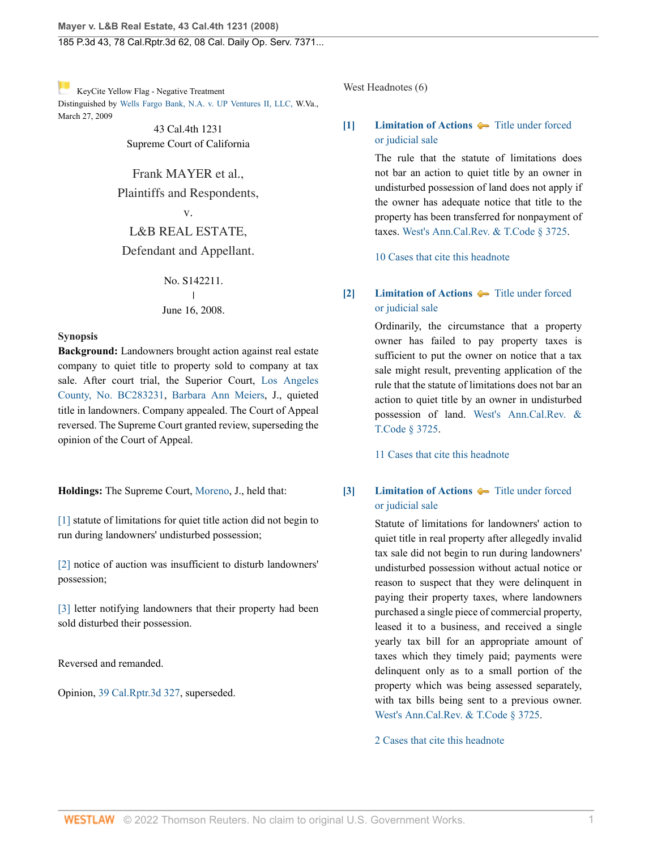[K](http://www.westlaw.com/Link/RelatedInformation/Flag?documentGuid=I17c826f43bb711ddb7e583ba170699a5&transitionType=Document&originationContext=docHeaderFlag&Rank=0&rs=cblt1.0&vr=3.0&contextData=(sc.History*oc.DocLink))eyCite Yellow Flag - Negative Treatment Distinguished by [Wells Fargo Bank, N.A. v. UP Ventures II, LLC, W](https://www.westlaw.com/Document/I7b5d18ee1d0e11deb6a3a099756c05b7/View/FullText.html?navigationPath=RelatedInfo%2Fv4%2Fkeycite%2Fnav%2F%3Fguid%3DI7b5d18ee1d0e11deb6a3a099756c05b7%26ss%3D2016314529%26ds%3D2018492479%26origDocGuid%3DI17c826f43bb711ddb7e583ba170699a5&listSource=RelatedInfo&list=NegativeCitingReferences&rank=0&ppcid=30b02acafbe54df8ab0d0a276869cd74&originationContext=docHeader&transitionType=NegativeTreatment&contextData=%28sc.History*oc.DocLink%29&VR=3.0&RS=cblt1.0 ).Va., March 27, 2009

> 43 Cal.4th 1231 Supreme Court of California

Frank MAYER et al.,

Plaintiffs and Respondents,

v.

L&B REAL ESTATE, Defendant and Appellant.

> No. S142211. | June 16, 2008.

### **Synopsis**

**Background:** Landowners brought action against real estate company to quiet title to property sold to company at tax sale. After court trial, the Superior Court, [Los Angeles](http://www.westlaw.com/Link/Document/FullText?findType=Y&serNum=2011172089&pubNum=0004031&originatingDoc=I17c826f43bb711ddb7e583ba170699a5&refType=RP&originationContext=document&vr=3.0&rs=cblt1.0&transitionType=DocumentItem&contextData=(sc.History*oc.DocLink)) [County, No. BC283231,](http://www.westlaw.com/Link/Document/FullText?findType=Y&serNum=2011172089&pubNum=0004031&originatingDoc=I17c826f43bb711ddb7e583ba170699a5&refType=RP&originationContext=document&vr=3.0&rs=cblt1.0&transitionType=DocumentItem&contextData=(sc.History*oc.DocLink)) [Barbara Ann Meiers,](http://www.westlaw.com/Link/Document/FullText?findType=h&pubNum=176284&cite=0138950501&originatingDoc=I17c826f43bb711ddb7e583ba170699a5&refType=RQ&originationContext=document&vr=3.0&rs=cblt1.0&transitionType=DocumentItem&contextData=(sc.History*oc.DocLink)) J., quieted title in landowners. Company appealed. The Court of Appeal reversed. The Supreme Court granted review, superseding the opinion of the Court of Appeal.

**Holdings:** The Supreme Court, [Moreno,](http://www.westlaw.com/Link/Document/FullText?findType=h&pubNum=176284&cite=0513591401&originatingDoc=I17c826f43bb711ddb7e583ba170699a5&refType=RQ&originationContext=document&vr=3.0&rs=cblt1.0&transitionType=DocumentItem&contextData=(sc.History*oc.DocLink)) J., held that:

[\[1\]](#page-0-0) statute of limitations for quiet title action did not begin to run during landowners' undisturbed possession;

[\[2\]](#page-1-0) notice of auction was insufficient to disturb landowners' possession;

[\[3\]](#page-1-1) letter notifying landowners that their property had been sold disturbed their possession.

Reversed and remanded.

Opinion, [39 Cal.Rptr.3d 327,](http://www.westlaw.com/Link/Document/FullText?findType=Y&serNum=2008410781&pubNum=0007047&originatingDoc=I17c826f43bb711ddb7e583ba170699a5&refType=RP&originationContext=document&vr=3.0&rs=cblt1.0&transitionType=DocumentItem&contextData=(sc.History*oc.DocLink)) superseded.

### West Headnotes (6)

# <span id="page-0-1"></span>**[\[1\]](#page-4-0) [Limitation of Actions](http://www.westlaw.com/Browse/Home/KeyNumber/241/View.html?docGuid=I17c826f43bb711ddb7e583ba170699a5&originationContext=document&vr=3.0&rs=cblt1.0&transitionType=DocumentItem&contextData=(sc.History*oc.DocLink))**  $\blacklozenge$  [Title under forced](http://www.westlaw.com/Browse/Home/KeyNumber/241k44(4)/View.html?docGuid=I17c826f43bb711ddb7e583ba170699a5&originationContext=document&vr=3.0&rs=cblt1.0&transitionType=DocumentItem&contextData=(sc.History*oc.DocLink)) [or judicial sale](http://www.westlaw.com/Browse/Home/KeyNumber/241k44(4)/View.html?docGuid=I17c826f43bb711ddb7e583ba170699a5&originationContext=document&vr=3.0&rs=cblt1.0&transitionType=DocumentItem&contextData=(sc.History*oc.DocLink))

The rule that the statute of limitations does not bar an action to quiet title by an owner in undisturbed possession of land does not apply if the owner has adequate notice that title to the property has been transferred for nonpayment of taxes. [West's Ann.Cal.Rev. & T.Code § 3725.](http://www.westlaw.com/Link/Document/FullText?findType=L&pubNum=1000222&cite=CARTS3725&originatingDoc=I17c826f43bb711ddb7e583ba170699a5&refType=LQ&originationContext=document&vr=3.0&rs=cblt1.0&transitionType=DocumentItem&contextData=(sc.History*oc.DocLink))

[10 Cases that cite this headnote](http://www.westlaw.com/Link/RelatedInformation/DocHeadnoteLink?docGuid=I17c826f43bb711ddb7e583ba170699a5&headnoteId=201631452900120190610114701&originationContext=document&vr=3.0&rs=cblt1.0&transitionType=CitingReferences&contextData=(sc.History*oc.DocLink))

# <span id="page-0-2"></span>**[\[2\]](#page-4-1) [Limitation of Actions](http://www.westlaw.com/Browse/Home/KeyNumber/241/View.html?docGuid=I17c826f43bb711ddb7e583ba170699a5&originationContext=document&vr=3.0&rs=cblt1.0&transitionType=DocumentItem&contextData=(sc.History*oc.DocLink))**  $\bullet$  [Title under forced](http://www.westlaw.com/Browse/Home/KeyNumber/241k44(4)/View.html?docGuid=I17c826f43bb711ddb7e583ba170699a5&originationContext=document&vr=3.0&rs=cblt1.0&transitionType=DocumentItem&contextData=(sc.History*oc.DocLink)) [or judicial sale](http://www.westlaw.com/Browse/Home/KeyNumber/241k44(4)/View.html?docGuid=I17c826f43bb711ddb7e583ba170699a5&originationContext=document&vr=3.0&rs=cblt1.0&transitionType=DocumentItem&contextData=(sc.History*oc.DocLink))

Ordinarily, the circumstance that a property owner has failed to pay property taxes is sufficient to put the owner on notice that a tax sale might result, preventing application of the rule that the statute of limitations does not bar an action to quiet title by an owner in undisturbed possession of land. [West's Ann.Cal.Rev. &](http://www.westlaw.com/Link/Document/FullText?findType=L&pubNum=1000222&cite=CARTS3725&originatingDoc=I17c826f43bb711ddb7e583ba170699a5&refType=LQ&originationContext=document&vr=3.0&rs=cblt1.0&transitionType=DocumentItem&contextData=(sc.History*oc.DocLink)) [T.Code § 3725](http://www.westlaw.com/Link/Document/FullText?findType=L&pubNum=1000222&cite=CARTS3725&originatingDoc=I17c826f43bb711ddb7e583ba170699a5&refType=LQ&originationContext=document&vr=3.0&rs=cblt1.0&transitionType=DocumentItem&contextData=(sc.History*oc.DocLink)).

[11 Cases that cite this headnote](http://www.westlaw.com/Link/RelatedInformation/DocHeadnoteLink?docGuid=I17c826f43bb711ddb7e583ba170699a5&headnoteId=201631452900220190610114701&originationContext=document&vr=3.0&rs=cblt1.0&transitionType=CitingReferences&contextData=(sc.History*oc.DocLink))

## <span id="page-0-0"></span>**[\[3\]](#page-4-2) [Limitation of Actions](http://www.westlaw.com/Browse/Home/KeyNumber/241/View.html?docGuid=I17c826f43bb711ddb7e583ba170699a5&originationContext=document&vr=3.0&rs=cblt1.0&transitionType=DocumentItem&contextData=(sc.History*oc.DocLink))**  $\bullet$  [Title under forced](http://www.westlaw.com/Browse/Home/KeyNumber/241k44(4)/View.html?docGuid=I17c826f43bb711ddb7e583ba170699a5&originationContext=document&vr=3.0&rs=cblt1.0&transitionType=DocumentItem&contextData=(sc.History*oc.DocLink)) [or judicial sale](http://www.westlaw.com/Browse/Home/KeyNumber/241k44(4)/View.html?docGuid=I17c826f43bb711ddb7e583ba170699a5&originationContext=document&vr=3.0&rs=cblt1.0&transitionType=DocumentItem&contextData=(sc.History*oc.DocLink))

Statute of limitations for landowners' action to quiet title in real property after allegedly invalid tax sale did not begin to run during landowners' undisturbed possession without actual notice or reason to suspect that they were delinquent in paying their property taxes, where landowners purchased a single piece of commercial property, leased it to a business, and received a single yearly tax bill for an appropriate amount of taxes which they timely paid; payments were delinquent only as to a small portion of the property which was being assessed separately, with tax bills being sent to a previous owner. [West's Ann.Cal.Rev. & T.Code § 3725](http://www.westlaw.com/Link/Document/FullText?findType=L&pubNum=1000222&cite=CARTS3725&originatingDoc=I17c826f43bb711ddb7e583ba170699a5&refType=LQ&originationContext=document&vr=3.0&rs=cblt1.0&transitionType=DocumentItem&contextData=(sc.History*oc.DocLink)).

[2 Cases that cite this headnote](http://www.westlaw.com/Link/RelatedInformation/DocHeadnoteLink?docGuid=I17c826f43bb711ddb7e583ba170699a5&headnoteId=201631452900320190610114701&originationContext=document&vr=3.0&rs=cblt1.0&transitionType=CitingReferences&contextData=(sc.History*oc.DocLink))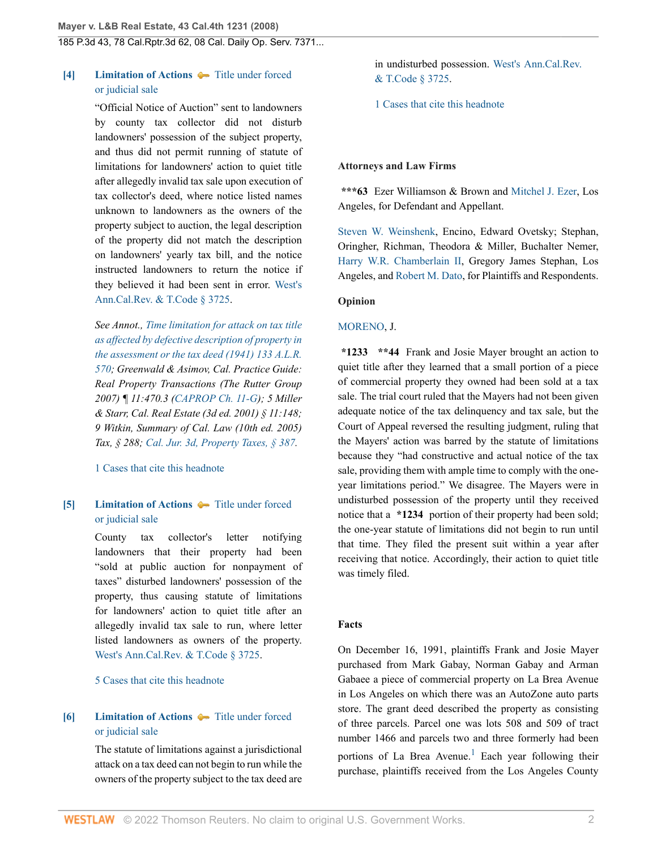## <span id="page-1-0"></span>**[\[4\]](#page-5-0) [Limitation of Actions](http://www.westlaw.com/Browse/Home/KeyNumber/241/View.html?docGuid=I17c826f43bb711ddb7e583ba170699a5&originationContext=document&vr=3.0&rs=cblt1.0&transitionType=DocumentItem&contextData=(sc.History*oc.DocLink))**  $\blacklozenge$  **[Title under forced](http://www.westlaw.com/Browse/Home/KeyNumber/241k44(4)/View.html?docGuid=I17c826f43bb711ddb7e583ba170699a5&originationContext=document&vr=3.0&rs=cblt1.0&transitionType=DocumentItem&contextData=(sc.History*oc.DocLink))** [or judicial sale](http://www.westlaw.com/Browse/Home/KeyNumber/241k44(4)/View.html?docGuid=I17c826f43bb711ddb7e583ba170699a5&originationContext=document&vr=3.0&rs=cblt1.0&transitionType=DocumentItem&contextData=(sc.History*oc.DocLink))

"Official Notice of Auction" sent to landowners by county tax collector did not disturb landowners' possession of the subject property, and thus did not permit running of statute of limitations for landowners' action to quiet title after allegedly invalid tax sale upon execution of tax collector's deed, where notice listed names unknown to landowners as the owners of the property subject to auction, the legal description of the property did not match the description on landowners' yearly tax bill, and the notice instructed landowners to return the notice if they believed it had been sent in error. [West's](http://www.westlaw.com/Link/Document/FullText?findType=L&pubNum=1000222&cite=CARTS3725&originatingDoc=I17c826f43bb711ddb7e583ba170699a5&refType=LQ&originationContext=document&vr=3.0&rs=cblt1.0&transitionType=DocumentItem&contextData=(sc.History*oc.DocLink)) [Ann.Cal.Rev. & T.Code § 3725](http://www.westlaw.com/Link/Document/FullText?findType=L&pubNum=1000222&cite=CARTS3725&originatingDoc=I17c826f43bb711ddb7e583ba170699a5&refType=LQ&originationContext=document&vr=3.0&rs=cblt1.0&transitionType=DocumentItem&contextData=(sc.History*oc.DocLink)).

*See Annot., [Time limitation for attack on tax title](http://www.westlaw.com/Link/Document/FullText?findType=Y&serNum=1920033507&pubNum=0000104&originatingDoc=I17c826f43bb711ddb7e583ba170699a5&refType=RP&originationContext=document&vr=3.0&rs=cblt1.0&transitionType=DocumentItem&contextData=(sc.History*oc.DocLink)) [as affected by defective description of property in](http://www.westlaw.com/Link/Document/FullText?findType=Y&serNum=1920033507&pubNum=0000104&originatingDoc=I17c826f43bb711ddb7e583ba170699a5&refType=RP&originationContext=document&vr=3.0&rs=cblt1.0&transitionType=DocumentItem&contextData=(sc.History*oc.DocLink)) [the assessment or the tax deed \(1941\) 133 A.L.R.](http://www.westlaw.com/Link/Document/FullText?findType=Y&serNum=1920033507&pubNum=0000104&originatingDoc=I17c826f43bb711ddb7e583ba170699a5&refType=RP&originationContext=document&vr=3.0&rs=cblt1.0&transitionType=DocumentItem&contextData=(sc.History*oc.DocLink)) [570;](http://www.westlaw.com/Link/Document/FullText?findType=Y&serNum=1920033507&pubNum=0000104&originatingDoc=I17c826f43bb711ddb7e583ba170699a5&refType=RP&originationContext=document&vr=3.0&rs=cblt1.0&transitionType=DocumentItem&contextData=(sc.History*oc.DocLink)) Greenwald & Asimov, Cal. Practice Guide: Real Property Transactions (The Rutter Group 2007) ¶ 11:470.3 ([CAPROP Ch. 11-G\)](http://www.westlaw.com/Link/Document/FullText?findType=Y&serNum=0434523754&pubNum=0109788&originatingDoc=I17c826f43bb711ddb7e583ba170699a5&refType=TS&docFamilyGuid=I29b9b1757d9611e59a04c921f5310963&originationContext=document&vr=3.0&rs=cblt1.0&transitionType=DocumentItem&contextData=(sc.History*oc.DocLink)); 5 Miller & Starr, Cal. Real Estate (3d ed. 2001) § 11:148; 9 Witkin, Summary of Cal. Law (10th ed. 2005) Tax, § 288; [Cal. Jur. 3d, Property Taxes, § 387](http://www.westlaw.com/Link/Document/FullText?findType=Y&serNum=0294440101&pubNum=0122547&originatingDoc=I17c826f43bb711ddb7e583ba170699a5&refType=TS&originationContext=document&vr=3.0&rs=cblt1.0&transitionType=DocumentItem&contextData=(sc.History*oc.DocLink)).*

[1 Cases that cite this headnote](http://www.westlaw.com/Link/RelatedInformation/DocHeadnoteLink?docGuid=I17c826f43bb711ddb7e583ba170699a5&headnoteId=201631452900420190610114701&originationContext=document&vr=3.0&rs=cblt1.0&transitionType=CitingReferences&contextData=(sc.History*oc.DocLink))

## <span id="page-1-1"></span>**[\[5\]](#page-5-1) [Limitation of Actions](http://www.westlaw.com/Browse/Home/KeyNumber/241/View.html?docGuid=I17c826f43bb711ddb7e583ba170699a5&originationContext=document&vr=3.0&rs=cblt1.0&transitionType=DocumentItem&contextData=(sc.History*oc.DocLink))**  $\bullet$  [Title under forced](http://www.westlaw.com/Browse/Home/KeyNumber/241k44(4)/View.html?docGuid=I17c826f43bb711ddb7e583ba170699a5&originationContext=document&vr=3.0&rs=cblt1.0&transitionType=DocumentItem&contextData=(sc.History*oc.DocLink)) [or judicial sale](http://www.westlaw.com/Browse/Home/KeyNumber/241k44(4)/View.html?docGuid=I17c826f43bb711ddb7e583ba170699a5&originationContext=document&vr=3.0&rs=cblt1.0&transitionType=DocumentItem&contextData=(sc.History*oc.DocLink))

County tax collector's letter notifying landowners that their property had been "sold at public auction for nonpayment of taxes" disturbed landowners' possession of the property, thus causing statute of limitations for landowners' action to quiet title after an allegedly invalid tax sale to run, where letter listed landowners as owners of the property. [West's Ann.Cal.Rev. & T.Code § 3725](http://www.westlaw.com/Link/Document/FullText?findType=L&pubNum=1000222&cite=CARTS3725&originatingDoc=I17c826f43bb711ddb7e583ba170699a5&refType=LQ&originationContext=document&vr=3.0&rs=cblt1.0&transitionType=DocumentItem&contextData=(sc.History*oc.DocLink)).

#### [5 Cases that cite this headnote](http://www.westlaw.com/Link/RelatedInformation/DocHeadnoteLink?docGuid=I17c826f43bb711ddb7e583ba170699a5&headnoteId=201631452900520190610114701&originationContext=document&vr=3.0&rs=cblt1.0&transitionType=CitingReferences&contextData=(sc.History*oc.DocLink))

## <span id="page-1-2"></span>**[\[6\]](#page-5-2) [Limitation of Actions](http://www.westlaw.com/Browse/Home/KeyNumber/241/View.html?docGuid=I17c826f43bb711ddb7e583ba170699a5&originationContext=document&vr=3.0&rs=cblt1.0&transitionType=DocumentItem&contextData=(sc.History*oc.DocLink))**  $\bullet$  [Title under forced](http://www.westlaw.com/Browse/Home/KeyNumber/241k44(4)/View.html?docGuid=I17c826f43bb711ddb7e583ba170699a5&originationContext=document&vr=3.0&rs=cblt1.0&transitionType=DocumentItem&contextData=(sc.History*oc.DocLink)) [or judicial sale](http://www.westlaw.com/Browse/Home/KeyNumber/241k44(4)/View.html?docGuid=I17c826f43bb711ddb7e583ba170699a5&originationContext=document&vr=3.0&rs=cblt1.0&transitionType=DocumentItem&contextData=(sc.History*oc.DocLink))

The statute of limitations against a jurisdictional attack on a tax deed can not begin to run while the owners of the property subject to the tax deed are in undisturbed possession. [West's Ann.Cal.Rev.](http://www.westlaw.com/Link/Document/FullText?findType=L&pubNum=1000222&cite=CARTS3725&originatingDoc=I17c826f43bb711ddb7e583ba170699a5&refType=LQ&originationContext=document&vr=3.0&rs=cblt1.0&transitionType=DocumentItem&contextData=(sc.History*oc.DocLink)) [& T.Code § 3725.](http://www.westlaw.com/Link/Document/FullText?findType=L&pubNum=1000222&cite=CARTS3725&originatingDoc=I17c826f43bb711ddb7e583ba170699a5&refType=LQ&originationContext=document&vr=3.0&rs=cblt1.0&transitionType=DocumentItem&contextData=(sc.History*oc.DocLink))

[1 Cases that cite this headnote](http://www.westlaw.com/Link/RelatedInformation/DocHeadnoteLink?docGuid=I17c826f43bb711ddb7e583ba170699a5&headnoteId=201631452900620190610114701&originationContext=document&vr=3.0&rs=cblt1.0&transitionType=CitingReferences&contextData=(sc.History*oc.DocLink))

#### **Attorneys and Law Firms**

**\*\*\*63** Ezer Williamson & Brown and [Mitchel J. Ezer,](http://www.westlaw.com/Link/Document/FullText?findType=h&pubNum=176284&cite=0244159901&originatingDoc=I17c826f43bb711ddb7e583ba170699a5&refType=RQ&originationContext=document&vr=3.0&rs=cblt1.0&transitionType=DocumentItem&contextData=(sc.History*oc.DocLink)) Los Angeles, for Defendant and Appellant.

[Steven W. Weinshenk,](http://www.westlaw.com/Link/Document/FullText?findType=h&pubNum=176284&cite=0217209101&originatingDoc=I17c826f43bb711ddb7e583ba170699a5&refType=RQ&originationContext=document&vr=3.0&rs=cblt1.0&transitionType=DocumentItem&contextData=(sc.History*oc.DocLink)) Encino, Edward Ovetsky; Stephan, Oringher, Richman, Theodora & Miller, Buchalter Nemer, [Harry W.R. Chamberlain II](http://www.westlaw.com/Link/Document/FullText?findType=h&pubNum=176284&cite=0338505401&originatingDoc=I17c826f43bb711ddb7e583ba170699a5&refType=RQ&originationContext=document&vr=3.0&rs=cblt1.0&transitionType=DocumentItem&contextData=(sc.History*oc.DocLink)), Gregory James Stephan, Los Angeles, and [Robert M. Dato](http://www.westlaw.com/Link/Document/FullText?findType=h&pubNum=176284&cite=0338535901&originatingDoc=I17c826f43bb711ddb7e583ba170699a5&refType=RQ&originationContext=document&vr=3.0&rs=cblt1.0&transitionType=DocumentItem&contextData=(sc.History*oc.DocLink)), for Plaintiffs and Respondents.

#### **Opinion**

### [MORENO](http://www.westlaw.com/Link/Document/FullText?findType=h&pubNum=176284&cite=0513591401&originatingDoc=I17c826f43bb711ddb7e583ba170699a5&refType=RQ&originationContext=document&vr=3.0&rs=cblt1.0&transitionType=DocumentItem&contextData=(sc.History*oc.DocLink)), J.

**\*1233 \*\*44** Frank and Josie Mayer brought an action to quiet title after they learned that a small portion of a piece of commercial property they owned had been sold at a tax sale. The trial court ruled that the Mayers had not been given adequate notice of the tax delinquency and tax sale, but the Court of Appeal reversed the resulting judgment, ruling that the Mayers' action was barred by the statute of limitations because they "had constructive and actual notice of the tax sale, providing them with ample time to comply with the oneyear limitations period." We disagree. The Mayers were in undisturbed possession of the property until they received notice that a **\*1234** portion of their property had been sold; the one-year statute of limitations did not begin to run until that time. They filed the present suit within a year after receiving that notice. Accordingly, their action to quiet title was timely filed.

#### **Facts**

<span id="page-1-3"></span>On December 16, 1991, plaintiffs Frank and Josie Mayer purchased from Mark Gabay, Norman Gabay and Arman Gabaee a piece of commercial property on La Brea Avenue in Los Angeles on which there was an AutoZone auto parts store. The grant deed described the property as consisting of three parcels. Parcel one was lots 508 and 509 of tract number 1466 and parcels two and three formerly had been portions of La Brea Avenue.<sup>[1](#page-5-3)</sup> Each year following their purchase, plaintiffs received from the Los Angeles County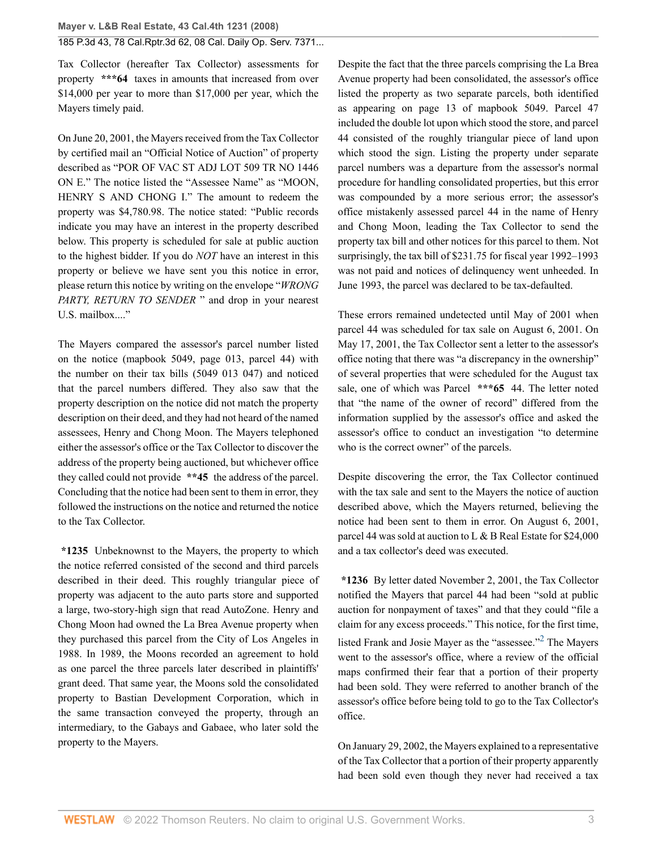Tax Collector (hereafter Tax Collector) assessments for property **\*\*\*64** taxes in amounts that increased from over \$14,000 per year to more than \$17,000 per year, which the Mayers timely paid.

On June 20, 2001, the Mayers received from the Tax Collector by certified mail an "Official Notice of Auction" of property described as "POR OF VAC ST ADJ LOT 509 TR NO 1446 ON E." The notice listed the "Assessee Name" as "MOON, HENRY S AND CHONG I." The amount to redeem the property was \$4,780.98. The notice stated: "Public records indicate you may have an interest in the property described below. This property is scheduled for sale at public auction to the highest bidder. If you do *NOT* have an interest in this property or believe we have sent you this notice in error, please return this notice by writing on the envelope "*WRONG PARTY, RETURN TO SENDER* " and drop in your nearest U.S. mailbox...."

The Mayers compared the assessor's parcel number listed on the notice (mapbook 5049, page 013, parcel 44) with the number on their tax bills (5049 013 047) and noticed that the parcel numbers differed. They also saw that the property description on the notice did not match the property description on their deed, and they had not heard of the named assessees, Henry and Chong Moon. The Mayers telephoned either the assessor's office or the Tax Collector to discover the address of the property being auctioned, but whichever office they called could not provide **\*\*45** the address of the parcel. Concluding that the notice had been sent to them in error, they followed the instructions on the notice and returned the notice to the Tax Collector.

**\*1235** Unbeknownst to the Mayers, the property to which the notice referred consisted of the second and third parcels described in their deed. This roughly triangular piece of property was adjacent to the auto parts store and supported a large, two-story-high sign that read AutoZone. Henry and Chong Moon had owned the La Brea Avenue property when they purchased this parcel from the City of Los Angeles in 1988. In 1989, the Moons recorded an agreement to hold as one parcel the three parcels later described in plaintiffs' grant deed. That same year, the Moons sold the consolidated property to Bastian Development Corporation, which in the same transaction conveyed the property, through an intermediary, to the Gabays and Gabaee, who later sold the property to the Mayers.

Despite the fact that the three parcels comprising the La Brea Avenue property had been consolidated, the assessor's office listed the property as two separate parcels, both identified as appearing on page 13 of mapbook 5049. Parcel 47 included the double lot upon which stood the store, and parcel 44 consisted of the roughly triangular piece of land upon which stood the sign. Listing the property under separate parcel numbers was a departure from the assessor's normal procedure for handling consolidated properties, but this error was compounded by a more serious error; the assessor's office mistakenly assessed parcel 44 in the name of Henry and Chong Moon, leading the Tax Collector to send the property tax bill and other notices for this parcel to them. Not surprisingly, the tax bill of \$231.75 for fiscal year 1992–1993 was not paid and notices of delinquency went unheeded. In June 1993, the parcel was declared to be tax-defaulted.

These errors remained undetected until May of 2001 when parcel 44 was scheduled for tax sale on August 6, 2001. On May 17, 2001, the Tax Collector sent a letter to the assessor's office noting that there was "a discrepancy in the ownership" of several properties that were scheduled for the August tax sale, one of which was Parcel **\*\*\*65** 44. The letter noted that "the name of the owner of record" differed from the information supplied by the assessor's office and asked the assessor's office to conduct an investigation "to determine who is the correct owner" of the parcels.

Despite discovering the error, the Tax Collector continued with the tax sale and sent to the Mayers the notice of auction described above, which the Mayers returned, believing the notice had been sent to them in error. On August 6, 2001, parcel 44 was sold at auction to L & B Real Estate for \$24,000 and a tax collector's deed was executed.

<span id="page-2-0"></span>**\*1236** By letter dated November 2, 2001, the Tax Collector notified the Mayers that parcel 44 had been "sold at public auction for nonpayment of taxes" and that they could "file a claim for any excess proceeds." This notice, for the first time, listed Frank and Josie Mayer as the "assessee."<sup>[2](#page-5-4)</sup> The Mayers went to the assessor's office, where a review of the official maps confirmed their fear that a portion of their property had been sold. They were referred to another branch of the assessor's office before being told to go to the Tax Collector's office.

On January 29, 2002, the Mayers explained to a representative of the Tax Collector that a portion of their property apparently had been sold even though they never had received a tax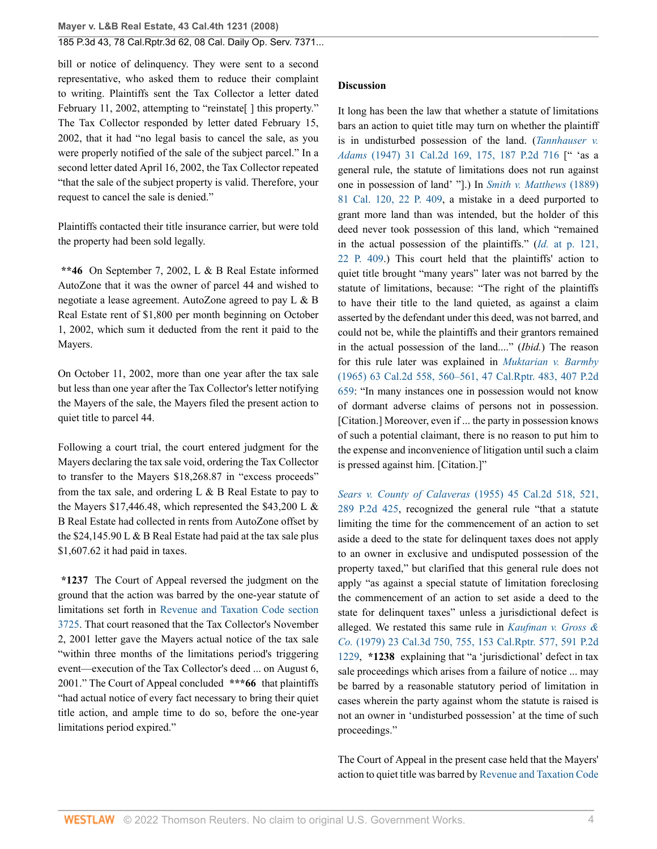bill or notice of delinquency. They were sent to a second representative, who asked them to reduce their complaint to writing. Plaintiffs sent the Tax Collector a letter dated February 11, 2002, attempting to "reinstate" l this property." The Tax Collector responded by letter dated February 15, 2002, that it had "no legal basis to cancel the sale, as you were properly notified of the sale of the subject parcel." In a second letter dated April 16, 2002, the Tax Collector repeated "that the sale of the subject property is valid. Therefore, your request to cancel the sale is denied."

Plaintiffs contacted their title insurance carrier, but were told the property had been sold legally.

**\*\*46** On September 7, 2002, L & B Real Estate informed AutoZone that it was the owner of parcel 44 and wished to negotiate a lease agreement. AutoZone agreed to pay L & B Real Estate rent of \$1,800 per month beginning on October 1, 2002, which sum it deducted from the rent it paid to the Mayers.

On October 11, 2002, more than one year after the tax sale but less than one year after the Tax Collector's letter notifying the Mayers of the sale, the Mayers filed the present action to quiet title to parcel 44.

Following a court trial, the court entered judgment for the Mayers declaring the tax sale void, ordering the Tax Collector to transfer to the Mayers \$18,268.87 in "excess proceeds" from the tax sale, and ordering  $L \& B$  Real Estate to pay to the Mayers  $$17,446.48$ , which represented the  $$43,200$  L & B Real Estate had collected in rents from AutoZone offset by the  $$24,145.90 L & B$  Real Estate had paid at the tax sale plus \$1,607.62 it had paid in taxes.

**\*1237** The Court of Appeal reversed the judgment on the ground that the action was barred by the one-year statute of limitations set forth in [Revenue and Taxation Code section](http://www.westlaw.com/Link/Document/FullText?findType=L&pubNum=1000222&cite=CARTS3725&originatingDoc=I17c826f43bb711ddb7e583ba170699a5&refType=LQ&originationContext=document&vr=3.0&rs=cblt1.0&transitionType=DocumentItem&contextData=(sc.History*oc.DocLink)) [3725](http://www.westlaw.com/Link/Document/FullText?findType=L&pubNum=1000222&cite=CARTS3725&originatingDoc=I17c826f43bb711ddb7e583ba170699a5&refType=LQ&originationContext=document&vr=3.0&rs=cblt1.0&transitionType=DocumentItem&contextData=(sc.History*oc.DocLink)). That court reasoned that the Tax Collector's November 2, 2001 letter gave the Mayers actual notice of the tax sale "within three months of the limitations period's triggering event—execution of the Tax Collector's deed ... on August 6, 2001." The Court of Appeal concluded **\*\*\*66** that plaintiffs "had actual notice of every fact necessary to bring their quiet title action, and ample time to do so, before the one-year limitations period expired."

#### **Discussion**

It long has been the law that whether a statute of limitations bars an action to quiet title may turn on whether the plaintiff is in undisturbed possession of the land. (*[Tannhauser v.](http://www.westlaw.com/Link/Document/FullText?findType=Y&serNum=1948114101&pubNum=0000661&originatingDoc=I17c826f43bb711ddb7e583ba170699a5&refType=RP&originationContext=document&vr=3.0&rs=cblt1.0&transitionType=DocumentItem&contextData=(sc.History*oc.DocLink)) Adams* [\(1947\) 31 Cal.2d 169, 175, 187 P.2d 716](http://www.westlaw.com/Link/Document/FullText?findType=Y&serNum=1948114101&pubNum=0000661&originatingDoc=I17c826f43bb711ddb7e583ba170699a5&refType=RP&originationContext=document&vr=3.0&rs=cblt1.0&transitionType=DocumentItem&contextData=(sc.History*oc.DocLink)) [" 'as a general rule, the statute of limitations does not run against one in possession of land' "].) In *[Smith v. Matthews](http://www.westlaw.com/Link/Document/FullText?findType=Y&serNum=1889003137&pubNum=0000660&originatingDoc=I17c826f43bb711ddb7e583ba170699a5&refType=RP&originationContext=document&vr=3.0&rs=cblt1.0&transitionType=DocumentItem&contextData=(sc.History*oc.DocLink))* (1889) [81 Cal. 120, 22 P. 409](http://www.westlaw.com/Link/Document/FullText?findType=Y&serNum=1889003137&pubNum=0000660&originatingDoc=I17c826f43bb711ddb7e583ba170699a5&refType=RP&originationContext=document&vr=3.0&rs=cblt1.0&transitionType=DocumentItem&contextData=(sc.History*oc.DocLink)), a mistake in a deed purported to grant more land than was intended, but the holder of this deed never took possession of this land, which "remained in the actual possession of the plaintiffs." (*Id.* [at p. 121,](http://www.westlaw.com/Link/Document/FullText?findType=Y&serNum=1889003137&pubNum=0000660&originatingDoc=I17c826f43bb711ddb7e583ba170699a5&refType=RP&originationContext=document&vr=3.0&rs=cblt1.0&transitionType=DocumentItem&contextData=(sc.History*oc.DocLink)) [22 P. 409.](http://www.westlaw.com/Link/Document/FullText?findType=Y&serNum=1889003137&pubNum=0000660&originatingDoc=I17c826f43bb711ddb7e583ba170699a5&refType=RP&originationContext=document&vr=3.0&rs=cblt1.0&transitionType=DocumentItem&contextData=(sc.History*oc.DocLink))) This court held that the plaintiffs' action to quiet title brought "many years" later was not barred by the statute of limitations, because: "The right of the plaintiffs to have their title to the land quieted, as against a claim asserted by the defendant under this deed, was not barred, and could not be, while the plaintiffs and their grantors remained in the actual possession of the land...." (*Ibid.*) The reason for this rule later was explained in *[Muktarian v. Barmby](http://www.westlaw.com/Link/Document/FullText?findType=Y&serNum=1965109530&pubNum=0000661&originatingDoc=I17c826f43bb711ddb7e583ba170699a5&refType=RP&originationContext=document&vr=3.0&rs=cblt1.0&transitionType=DocumentItem&contextData=(sc.History*oc.DocLink))* [\(1965\) 63 Cal.2d 558, 560–561, 47 Cal.Rptr. 483, 407 P.2d](http://www.westlaw.com/Link/Document/FullText?findType=Y&serNum=1965109530&pubNum=0000661&originatingDoc=I17c826f43bb711ddb7e583ba170699a5&refType=RP&originationContext=document&vr=3.0&rs=cblt1.0&transitionType=DocumentItem&contextData=(sc.History*oc.DocLink)) [659](http://www.westlaw.com/Link/Document/FullText?findType=Y&serNum=1965109530&pubNum=0000661&originatingDoc=I17c826f43bb711ddb7e583ba170699a5&refType=RP&originationContext=document&vr=3.0&rs=cblt1.0&transitionType=DocumentItem&contextData=(sc.History*oc.DocLink)): "In many instances one in possession would not know of dormant adverse claims of persons not in possession. [Citation.] Moreover, even if ... the party in possession knows of such a potential claimant, there is no reason to put him to the expense and inconvenience of litigation until such a claim is pressed against him. [Citation.]"

*[Sears v. County of Calaveras](http://www.westlaw.com/Link/Document/FullText?findType=Y&serNum=1955113768&pubNum=0000661&originatingDoc=I17c826f43bb711ddb7e583ba170699a5&refType=RP&originationContext=document&vr=3.0&rs=cblt1.0&transitionType=DocumentItem&contextData=(sc.History*oc.DocLink))* (1955) 45 Cal.2d 518, 521, [289 P.2d 425](http://www.westlaw.com/Link/Document/FullText?findType=Y&serNum=1955113768&pubNum=0000661&originatingDoc=I17c826f43bb711ddb7e583ba170699a5&refType=RP&originationContext=document&vr=3.0&rs=cblt1.0&transitionType=DocumentItem&contextData=(sc.History*oc.DocLink)), recognized the general rule "that a statute limiting the time for the commencement of an action to set aside a deed to the state for delinquent taxes does not apply to an owner in exclusive and undisputed possession of the property taxed," but clarified that this general rule does not apply "as against a special statute of limitation foreclosing the commencement of an action to set aside a deed to the state for delinquent taxes" unless a jurisdictional defect is alleged. We restated this same rule in *[Kaufman v. Gross &](http://www.westlaw.com/Link/Document/FullText?findType=Y&serNum=1979105467&pubNum=0000661&originatingDoc=I17c826f43bb711ddb7e583ba170699a5&refType=RP&originationContext=document&vr=3.0&rs=cblt1.0&transitionType=DocumentItem&contextData=(sc.History*oc.DocLink)) Co.* [\(1979\) 23 Cal.3d 750, 755, 153 Cal.Rptr. 577, 591 P.2d](http://www.westlaw.com/Link/Document/FullText?findType=Y&serNum=1979105467&pubNum=0000661&originatingDoc=I17c826f43bb711ddb7e583ba170699a5&refType=RP&originationContext=document&vr=3.0&rs=cblt1.0&transitionType=DocumentItem&contextData=(sc.History*oc.DocLink)) [1229](http://www.westlaw.com/Link/Document/FullText?findType=Y&serNum=1979105467&pubNum=0000661&originatingDoc=I17c826f43bb711ddb7e583ba170699a5&refType=RP&originationContext=document&vr=3.0&rs=cblt1.0&transitionType=DocumentItem&contextData=(sc.History*oc.DocLink)), **\*1238** explaining that "a 'jurisdictional' defect in tax sale proceedings which arises from a failure of notice ... may be barred by a reasonable statutory period of limitation in cases wherein the party against whom the statute is raised is not an owner in 'undisturbed possession' at the time of such proceedings."

The Court of Appeal in the present case held that the Mayers' action to quiet title was barred by [Revenue and Taxation Code](http://www.westlaw.com/Link/Document/FullText?findType=L&pubNum=1000222&cite=CARTS3725&originatingDoc=I17c826f43bb711ddb7e583ba170699a5&refType=LQ&originationContext=document&vr=3.0&rs=cblt1.0&transitionType=DocumentItem&contextData=(sc.History*oc.DocLink))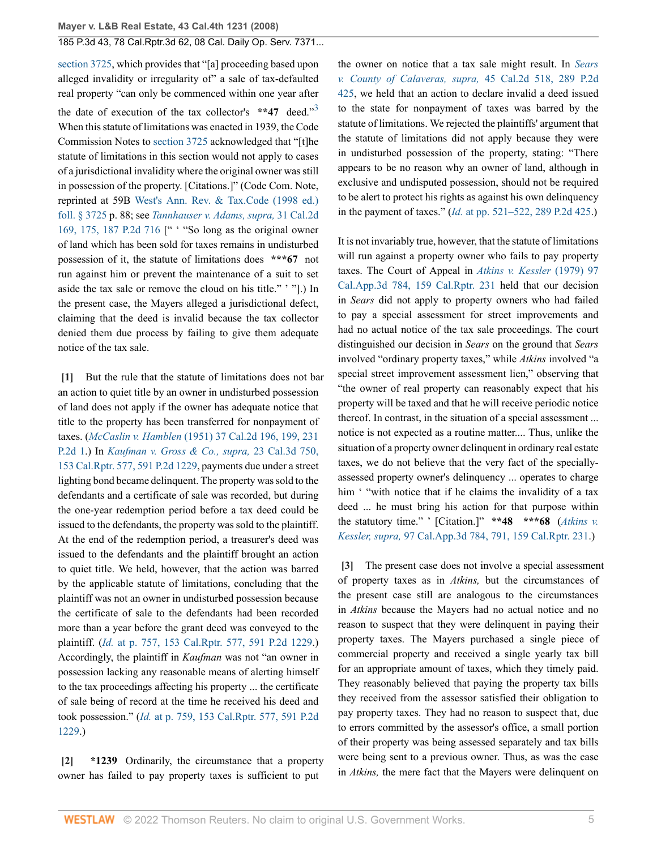[section 3725](http://www.westlaw.com/Link/Document/FullText?findType=L&pubNum=1000222&cite=CARTS3725&originatingDoc=I17c826f43bb711ddb7e583ba170699a5&refType=LQ&originationContext=document&vr=3.0&rs=cblt1.0&transitionType=DocumentItem&contextData=(sc.History*oc.DocLink)), which provides that "[a] proceeding based upon alleged invalidity or irregularity of" a sale of tax-defaulted real property "can only be commenced within one year after the date of execution of the tax collector's \*\*47 deed."<sup>[3](#page-5-5)</sup> When this statute of limitations was enacted in 1939, the Code Commission Notes to [section 3725](http://www.westlaw.com/Link/Document/FullText?findType=L&pubNum=1000222&cite=CARTS3725&originatingDoc=I17c826f43bb711ddb7e583ba170699a5&refType=LQ&originationContext=document&vr=3.0&rs=cblt1.0&transitionType=DocumentItem&contextData=(sc.History*oc.DocLink)) acknowledged that "[t]he statute of limitations in this section would not apply to cases of a jurisdictional invalidity where the original owner was still in possession of the property. [Citations.]" (Code Com. Note, reprinted at 59B [West's Ann. Rev. & Tax.Code \(1998 ed.\)](http://www.westlaw.com/Link/Document/FullText?findType=L&pubNum=1000222&cite=CARTS3725&originatingDoc=I17c826f43bb711ddb7e583ba170699a5&refType=LQ&originationContext=document&vr=3.0&rs=cblt1.0&transitionType=DocumentItem&contextData=(sc.History*oc.DocLink)) [foll. § 3725](http://www.westlaw.com/Link/Document/FullText?findType=L&pubNum=1000222&cite=CARTS3725&originatingDoc=I17c826f43bb711ddb7e583ba170699a5&refType=LQ&originationContext=document&vr=3.0&rs=cblt1.0&transitionType=DocumentItem&contextData=(sc.History*oc.DocLink)) p. 88; see *[Tannhauser v. Adams, supra,](http://www.westlaw.com/Link/Document/FullText?findType=Y&serNum=1948114101&pubNum=0000661&originatingDoc=I17c826f43bb711ddb7e583ba170699a5&refType=RP&originationContext=document&vr=3.0&rs=cblt1.0&transitionType=DocumentItem&contextData=(sc.History*oc.DocLink))* 31 Cal.2d [169, 175, 187 P.2d 716](http://www.westlaw.com/Link/Document/FullText?findType=Y&serNum=1948114101&pubNum=0000661&originatingDoc=I17c826f43bb711ddb7e583ba170699a5&refType=RP&originationContext=document&vr=3.0&rs=cblt1.0&transitionType=DocumentItem&contextData=(sc.History*oc.DocLink)) [" ' "So long as the original owner of land which has been sold for taxes remains in undisturbed possession of it, the statute of limitations does **\*\*\*67** not run against him or prevent the maintenance of a suit to set aside the tax sale or remove the cloud on his title." ' "].) In the present case, the Mayers alleged a jurisdictional defect, claiming that the deed is invalid because the tax collector denied them due process by failing to give them adequate notice of the tax sale.

<span id="page-4-0"></span>**[\[1\]](#page-0-1)** But the rule that the statute of limitations does not bar an action to quiet title by an owner in undisturbed possession of land does not apply if the owner has adequate notice that title to the property has been transferred for nonpayment of taxes. (*McCaslin v. Hamblen* [\(1951\) 37 Cal.2d 196, 199, 231](http://www.westlaw.com/Link/Document/FullText?findType=Y&serNum=1951112866&pubNum=0000661&originatingDoc=I17c826f43bb711ddb7e583ba170699a5&refType=RP&originationContext=document&vr=3.0&rs=cblt1.0&transitionType=DocumentItem&contextData=(sc.History*oc.DocLink)) [P.2d 1](http://www.westlaw.com/Link/Document/FullText?findType=Y&serNum=1951112866&pubNum=0000661&originatingDoc=I17c826f43bb711ddb7e583ba170699a5&refType=RP&originationContext=document&vr=3.0&rs=cblt1.0&transitionType=DocumentItem&contextData=(sc.History*oc.DocLink)).) In *[Kaufman v. Gross & Co., supra,](http://www.westlaw.com/Link/Document/FullText?findType=Y&serNum=1979105467&pubNum=0000661&originatingDoc=I17c826f43bb711ddb7e583ba170699a5&refType=RP&originationContext=document&vr=3.0&rs=cblt1.0&transitionType=DocumentItem&contextData=(sc.History*oc.DocLink))* 23 Cal.3d 750, [153 Cal.Rptr. 577, 591 P.2d 1229,](http://www.westlaw.com/Link/Document/FullText?findType=Y&serNum=1979105467&pubNum=0000661&originatingDoc=I17c826f43bb711ddb7e583ba170699a5&refType=RP&originationContext=document&vr=3.0&rs=cblt1.0&transitionType=DocumentItem&contextData=(sc.History*oc.DocLink)) payments due under a street lighting bond became delinquent. The property was sold to the defendants and a certificate of sale was recorded, but during the one-year redemption period before a tax deed could be issued to the defendants, the property was sold to the plaintiff. At the end of the redemption period, a treasurer's deed was issued to the defendants and the plaintiff brought an action to quiet title. We held, however, that the action was barred by the applicable statute of limitations, concluding that the plaintiff was not an owner in undisturbed possession because the certificate of sale to the defendants had been recorded more than a year before the grant deed was conveyed to the plaintiff. (*Id.* [at p. 757, 153 Cal.Rptr. 577, 591 P.2d 1229](http://www.westlaw.com/Link/Document/FullText?findType=Y&serNum=1979105467&pubNum=0000661&originatingDoc=I17c826f43bb711ddb7e583ba170699a5&refType=RP&originationContext=document&vr=3.0&rs=cblt1.0&transitionType=DocumentItem&contextData=(sc.History*oc.DocLink)).) Accordingly, the plaintiff in *Kaufman* was not "an owner in possession lacking any reasonable means of alerting himself to the tax proceedings affecting his property ... the certificate of sale being of record at the time he received his deed and took possession." (*Id.* [at p. 759, 153 Cal.Rptr. 577, 591 P.2d](http://www.westlaw.com/Link/Document/FullText?findType=Y&serNum=1979105467&pubNum=0000661&originatingDoc=I17c826f43bb711ddb7e583ba170699a5&refType=RP&originationContext=document&vr=3.0&rs=cblt1.0&transitionType=DocumentItem&contextData=(sc.History*oc.DocLink)) [1229](http://www.westlaw.com/Link/Document/FullText?findType=Y&serNum=1979105467&pubNum=0000661&originatingDoc=I17c826f43bb711ddb7e583ba170699a5&refType=RP&originationContext=document&vr=3.0&rs=cblt1.0&transitionType=DocumentItem&contextData=(sc.History*oc.DocLink)).)

<span id="page-4-1"></span>**[\[2\]](#page-0-2) \*1239** Ordinarily, the circumstance that a property owner has failed to pay property taxes is sufficient to put

<span id="page-4-3"></span>the owner on notice that a tax sale might result. In *[Sears](http://www.westlaw.com/Link/Document/FullText?findType=Y&serNum=1955113768&pubNum=0000661&originatingDoc=I17c826f43bb711ddb7e583ba170699a5&refType=RP&originationContext=document&vr=3.0&rs=cblt1.0&transitionType=DocumentItem&contextData=(sc.History*oc.DocLink)) [v. County of Calaveras, supra,](http://www.westlaw.com/Link/Document/FullText?findType=Y&serNum=1955113768&pubNum=0000661&originatingDoc=I17c826f43bb711ddb7e583ba170699a5&refType=RP&originationContext=document&vr=3.0&rs=cblt1.0&transitionType=DocumentItem&contextData=(sc.History*oc.DocLink))* 45 Cal.2d 518, 289 P.2d [425](http://www.westlaw.com/Link/Document/FullText?findType=Y&serNum=1955113768&pubNum=0000661&originatingDoc=I17c826f43bb711ddb7e583ba170699a5&refType=RP&originationContext=document&vr=3.0&rs=cblt1.0&transitionType=DocumentItem&contextData=(sc.History*oc.DocLink)), we held that an action to declare invalid a deed issued to the state for nonpayment of taxes was barred by the statute of limitations. We rejected the plaintiffs' argument that the statute of limitations did not apply because they were in undisturbed possession of the property, stating: "There appears to be no reason why an owner of land, although in exclusive and undisputed possession, should not be required to be alert to protect his rights as against his own delinquency in the payment of taxes." (*Id.* [at pp. 521–522, 289 P.2d 425.](http://www.westlaw.com/Link/Document/FullText?findType=Y&serNum=1955113768&pubNum=0000661&originatingDoc=I17c826f43bb711ddb7e583ba170699a5&refType=RP&originationContext=document&vr=3.0&rs=cblt1.0&transitionType=DocumentItem&contextData=(sc.History*oc.DocLink)))

It is not invariably true, however, that the statute of limitations will run against a property owner who fails to pay property taxes. The Court of Appeal in *[Atkins v. Kessler](http://www.westlaw.com/Link/Document/FullText?findType=Y&serNum=1979111809&pubNum=0000227&originatingDoc=I17c826f43bb711ddb7e583ba170699a5&refType=RP&originationContext=document&vr=3.0&rs=cblt1.0&transitionType=DocumentItem&contextData=(sc.History*oc.DocLink))* (1979) 97 [Cal.App.3d 784, 159 Cal.Rptr. 231](http://www.westlaw.com/Link/Document/FullText?findType=Y&serNum=1979111809&pubNum=0000227&originatingDoc=I17c826f43bb711ddb7e583ba170699a5&refType=RP&originationContext=document&vr=3.0&rs=cblt1.0&transitionType=DocumentItem&contextData=(sc.History*oc.DocLink)) held that our decision in *Sears* did not apply to property owners who had failed to pay a special assessment for street improvements and had no actual notice of the tax sale proceedings. The court distinguished our decision in *Sears* on the ground that *Sears* involved "ordinary property taxes," while *Atkins* involved "a special street improvement assessment lien," observing that "the owner of real property can reasonably expect that his property will be taxed and that he will receive periodic notice thereof. In contrast, in the situation of a special assessment ... notice is not expected as a routine matter.... Thus, unlike the situation of a property owner delinquent in ordinary real estate taxes, we do not believe that the very fact of the speciallyassessed property owner's delinquency ... operates to charge him ' "with notice that if he claims the invalidity of a tax deed ... he must bring his action for that purpose within the statutory time." ' [Citation.]" **\*\*48 \*\*\*68** (*[Atkins v.](http://www.westlaw.com/Link/Document/FullText?findType=Y&serNum=1979111809&pubNum=0000227&originatingDoc=I17c826f43bb711ddb7e583ba170699a5&refType=RP&originationContext=document&vr=3.0&rs=cblt1.0&transitionType=DocumentItem&contextData=(sc.History*oc.DocLink)) Kessler, supra,* [97 Cal.App.3d 784, 791, 159 Cal.Rptr. 231.](http://www.westlaw.com/Link/Document/FullText?findType=Y&serNum=1979111809&pubNum=0000227&originatingDoc=I17c826f43bb711ddb7e583ba170699a5&refType=RP&originationContext=document&vr=3.0&rs=cblt1.0&transitionType=DocumentItem&contextData=(sc.History*oc.DocLink)))

<span id="page-4-2"></span>**[\[3\]](#page-0-0)** The present case does not involve a special assessment of property taxes as in *Atkins,* but the circumstances of the present case still are analogous to the circumstances in *Atkins* because the Mayers had no actual notice and no reason to suspect that they were delinquent in paying their property taxes. The Mayers purchased a single piece of commercial property and received a single yearly tax bill for an appropriate amount of taxes, which they timely paid. They reasonably believed that paying the property tax bills they received from the assessor satisfied their obligation to pay property taxes. They had no reason to suspect that, due to errors committed by the assessor's office, a small portion of their property was being assessed separately and tax bills were being sent to a previous owner. Thus, as was the case in *Atkins,* the mere fact that the Mayers were delinquent on